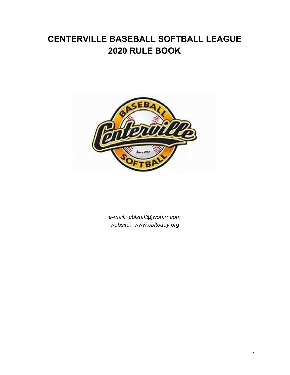# **CENTERVILLE BASEBALL SOFTBALL LEAGUE 2020 RULE BOOK**



*e-mail: cblstaff@woh.rr.com website: www.cbltoday.org*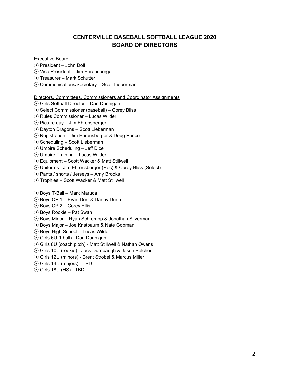# **CENTERVILLE BASEBALL SOFTBALL LEAGUE 2020 BOARD OF DIRECTORS**

# Executive Board

- ⦿ President John Doll
- ⦿ Vice President Jim Ehrensberger
- ⦿ Treasurer Mark Schutter
- ⦿ Communications/Secretary Scott Lieberman

# Directors, Committees, Commissioners and Coordinator Assignments

- ⦿ Girls Softball Director Dan Dunnigan
- ⦿ Select Commissioner (baseball) Corey Bliss
- ⦿ Rules Commissioner Lucas Wilder
- ⦿ Picture day Jim Ehrensberger
- ⦿ Dayton Dragons Scott Lieberman
- ⦿ Registration Jim Ehrensberger & Doug Pence
- ⦿ Scheduling Scott Lieberman
- ⦿ Umpire Scheduling Jeff Dice
- ⦿ Umpire Training Lucas Wilder
- ⦿ Equipment Scott Wacker & Matt Stillwell
- ⦿ Uniforms Jim Ehrensberger (Rec) & Corey Bliss (Select)
- ⦿ Pants / shorts / Jerseys Amy Brooks
- ⦿ Trophies Scott Wacker & Matt Stillwell
- ⦿ Boys T-Ball Mark Maruca
- ⦿ Boys CP 1 Evan Derr & Danny Dunn
- ⦿ Boys CP 2 Corey Ellis
- ⦿ Boys Rookie Pat Swan
- ⦿ Boys Minor Ryan Schrempp & Jonathan Silverman
- ⦿ Boys Major Joe Kristbaum & Nate Gopman
- ⦿ Boys High School Lucas Wilder
- ⦿ Girls 6U (t-ball) Dan Dunnigan
- ⦿ Girls 8U (coach pitch) Matt Stillwell & Nathan Owens
- ⦿ Girls 10U (rookie) Jack Durnbaugh & Jason Belcher
- ⦿ Girls 12U (minors) Brent Strobel & Marcus Miller
- ⦿ Girls 14U (majors) TBD
- ⦿ Girls 18U (HS) TBD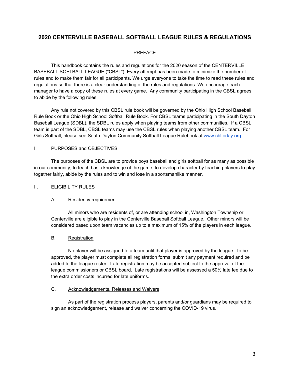# **2020 CENTERVILLE BASEBALL SOFTBALL LEAGUE RULES & REGULATIONS**

# PREFACE

This handbook contains the rules and regulations for the 2020 season of the CENTERVILLE BASEBALL SOFTBALL LEAGUE ("CBSL"). Every attempt has been made to minimize the number of rules and to make them fair for all participants. We urge everyone to take the time to read these rules and regulations so that there is a clear understanding of the rules and regulations. We encourage each manager to have a copy of these rules at every game. Any community participating in the CBSL agrees to abide by the following rules.

Any rule not covered by this CBSL rule book will be governed by the Ohio High School Baseball Rule Book or the Ohio High School Softball Rule Book. For CBSL teams participating in the South Dayton Baseball League (SDBL), the SDBL rules apply when playing teams from other communities. If a CBSL team is part of the SDBL, CBSL teams may use the CBSL rules when playing another CBSL team. For Girls Softball, please see South Dayton Community Softball League Rulebook at www.cbltoday.org.

# I. PURPOSES and OBJECTIVES

The purposes of the CBSL are to provide boys baseball and girls softball for as many as possible in our community, to teach basic knowledge of the game, to develop character by teaching players to play together fairly, abide by the rules and to win and lose in a sportsmanlike manner.

# II. ELIGIBILITY RULES

# A. Residency requirement

All minors who are residents of, or are attending school in, Washington Township or Centerville are eligible to play in the Centerville Baseball Softball League. Other minors will be considered based upon team vacancies up to a maximum of 15% of the players in each league.

# B. Registration

No player will be assigned to a team until that player is approved by the league. To be approved, the player must complete all registration forms, submit any payment required and be added to the league roster. Late registration may be accepted subject to the approval of the league commissioners or CBSL board. Late registrations will be assessed a 50% late fee due to the extra order costs incurred for late uniforms.

# C. Acknowledgements, Releases and Waivers

As part of the registration process players, parents and/or guardians may be required to sign an acknowledgement, release and waiver concerning the COVID-19 virus.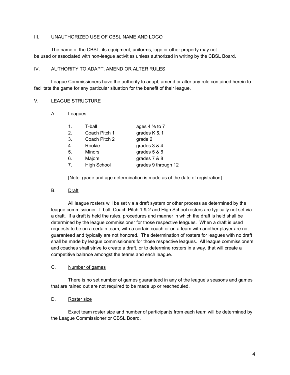#### III. UNAUTHORIZED USE OF CBSL NAME AND LOGO

The name of the CBSL, its equipment, uniforms, logo or other property may not be used or associated with non-league activities unless authorized in writing by the CBSL Board.

#### IV. AUTHORITY TO ADAPT, AMEND OR ALTER RULES

League Commissioners have the authority to adapt, amend or alter any rule contained herein to facilitate the game for any particular situation for the benefit of their league.

#### V. LEAGUE STRUCTURE

#### A. Leagues

| 1.             | T-ball             | ages $4\frac{1}{3}$ to 7 |
|----------------|--------------------|--------------------------|
| 2.             | Coach Pitch 1      | grades K & 1             |
| 3.             | Coach Pitch 2      | grade 2                  |
| 4.             | Rookie             | grades $3 & 4$           |
| 5.             | <b>Minors</b>      | grades $5 & 6$           |
| 6.             | Majors             | grades 7 & 8             |
| 7 <sub>1</sub> | <b>High School</b> | grades 9 through 12      |

[Note: grade and age determination is made as of the date of registration]

# B. Draft

All league rosters will be set via a draft system or other process as determined by the league commissioner. T-ball, Coach Pitch 1 & 2 and High School rosters are typically not set via a draft. If a draft is held the rules, procedures and manner in which the draft is held shall be determined by the league commissioner for those respective leagues. When a draft is used requests to be on a certain team, with a certain coach or on a team with another player are not guaranteed and typically are not honored. The determination of rosters for leagues with no draft shall be made by league commissioners for those respective leagues. All league commissioners and coaches shall strive to create a draft, or to determine rosters in a way, that will create a competitive balance amongst the teams and each league.

#### C. Number of games

There is no set number of games guaranteed in any of the league's seasons and games that are rained out are not required to be made up or rescheduled.

#### D. Roster size

Exact team roster size and number of participants from each team will be determined by the League Commissioner or CBSL Board.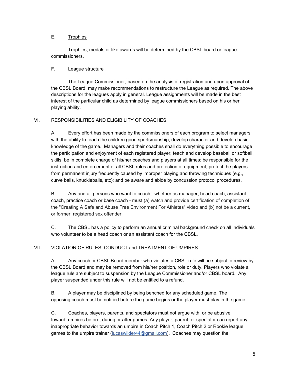## E. Trophies

Trophies, medals or like awards will be determined by the CBSL board or league commissioners.

# F. League structure

The League Commissioner, based on the analysis of registration and upon approval of the CBSL Board, may make recommendations to restructure the League as required. The above descriptions for the leagues apply in general. League assignments will be made in the best interest of the particular child as determined by league commissioners based on his or her playing ability.

# VI. RESPONSIBILITIES AND ELIGIBILITY OF COACHES

A. Every effort has been made by the commissioners of each program to select managers with the ability to teach the children good sportsmanship, develop character and develop basic knowledge of the game. Managers and their coaches shall do everything possible to encourage the participation and enjoyment of each registered player; teach and develop baseball or softball skills; be in complete charge of his/her coaches and players at all times; be responsible for the instruction and enforcement of all CBSL rules and protection of equipment; protect the players from permanent injury frequently caused by improper playing and throwing techniques (e.g., curve balls, knuckleballs, etc); and be aware and abide by concussion protocol procedures.

B. Any and all persons who want to coach - whether as manager, head coach, assistant coach, practice coach or base coach - must (a) watch and provide certification of completion of the "Creating A Safe and Abuse Free Environment For Athletes" video and (b) not be a current, or former, registered sex offender.

C. The CBSL has a policy to perform an annual criminal background check on all individuals who volunteer to be a head coach or an assistant coach for the CBSL.

# VII. VIOLATION OF RULES, CONDUCT and TREATMENT OF UMPIRES

A. Any coach or CBSL Board member who violates a CBSL rule will be subject to review by the CBSL Board and may be removed from his/her position, role or duty. Players who violate a league rule are subject to suspension by the League Commissioner and/or CBSL board. Any player suspended under this rule will not be entitled to a refund.

B. A player may be disciplined by being benched for any scheduled game. The opposing coach must be notified before the game begins or the player must play in the game.

C. Coaches, players, parents, and spectators must not argue with, or be abusive toward, umpires before, during or after games. Any player, parent, or spectator can report any inappropriate behavior towards an umpire in Coach Pitch 1, Coach Pitch 2 or Rookie league games to the umpire trainer (lucaswilder44@gmail.com). Coaches may question the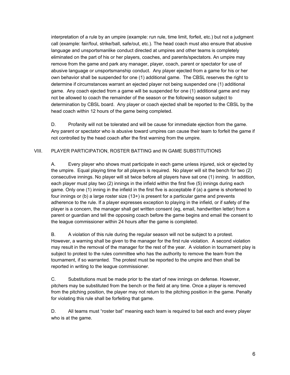interpretation of a rule by an umpire (example: run rule, time limit, forfeit, etc.) but not a judgment call (example: fair/foul, strike/ball, safe/out, etc.). The head coach must also ensure that abusive language and unsportsmanlike conduct directed at umpires and other teams is completely eliminated on the part of his or her players, coaches, and parents/spectators. An umpire may remove from the game and park any manager, player, coach, parent or spectator for use of abusive language or unsportsmanship conduct. Any player ejected from a game for his or her own behavior shall be suspended for one (1) additional game. The CBSL reserves the right to determine if circumstances warrant an ejected player not being suspended one (1) additional game. Any coach ejected from a game will be suspended for one (1) additional game and may not be allowed to coach the remainder of the season or the following season subject to determination by CBSL board. Any player or coach ejected shall be reported to the CBSL by the head coach within 12 hours of the game being completed.

D. Profanity will not be tolerated and will be cause for immediate ejection from the game. Any parent or spectator who is abusive toward umpires can cause their team to forfeit the game if not controlled by the head coach after the first warning from the umpire.

# VIII. PLAYER PARTICIPATION, ROSTER BATTING and IN GAME SUBSTITUTIONS

A. Every player who shows must participate in each game unless injured, sick or ejected by the umpire. Equal playing time for all players is required. No player will sit the bench for two (2) consecutive innings. No player will sit twice before all players have sat one (1) inning. In addition, each player must play two (2) innings in the infield within the first five (5) innings during each game. Only one (1) inning in the infield in the first five is acceptable if (a) a game is shortened to four innings or (b) a large roster size  $(13+)$  is present for a particular game and prevents adherence to the rule. If a player expresses exception to playing in the infield, or if safety of the player is a concern, the manager shall get written consent (eg, email, handwritten letter) from a parent or guardian and tell the opposing coach before the game begins and email the consent to the league commissioner within 24 hours after the game is completed.

B. A violation of this rule during the regular season will not be subject to a protest. However, a warning shall be given to the manager for the first rule violation. A second violation may result in the removal of the manager for the rest of the year. A violation in tournament play is subject to protest to the rules committee who has the authority to remove the team from the tournament, if so warranted. The protest must be reported to the umpire and then shall be reported in writing to the league commissioner.

C. Substitutions must be made prior to the start of new innings on defense. However, pitchers may be substituted from the bench or the field at any time. Once a player is removed from the pitching position, the player may not return to the pitching position in the game. Penalty for violating this rule shall be forfeiting that game.

D. All teams must "roster bat" meaning each team is required to bat each and every player who is at the game.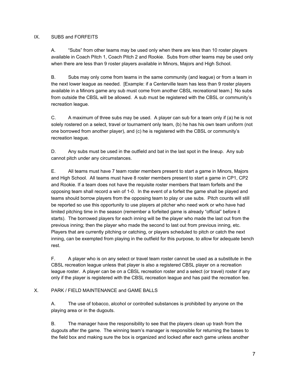## IX. SUBS and FORFEITS

A. "Subs" from other teams may be used only when there are less than 10 roster players available in Coach Pitch 1, Coach Pitch 2 and Rookie. Subs from other teams may be used only when there are less than 9 roster players available in Minors, Majors and High School.

B. Subs may only come from teams in the same community (and league) or from a team in the next lower league as needed. [Example: if a Centerville team has less than 9 roster players available in a Minors game any sub must come from another CBSL recreational team.] No subs from outside the CBSL will be allowed. A sub must be registered with the CBSL or community's recreation league.

C. A maximum of three subs may be used. A player can sub for a team only if (a) he is not solely rostered on a select, travel or tournament only team, (b) he has his own team uniform (not one borrowed from another player), and (c) he is registered with the CBSL or community's recreation league.

D. Any subs must be used in the outfield and bat in the last spot in the lineup. Any sub cannot pitch under any circumstances.

E. All teams must have 7 team roster members present to start a game in Minors, Majors and High School. All teams must have 8 roster members present to start a game in CP1, CP2 and Rookie. If a team does not have the requisite roster members that team forfeits and the opposing team shall record a win of 1-0. In the event of a forfeit the game shall be played and teams should borrow players from the opposing team to play or use subs. Pitch counts will still be reported so use this opportunity to use players at pitcher who need work or who have had limited pitching time in the season (remember a forfeited game is already "official" before it starts). The borrowed players for each inning will be the player who made the last out from the previous inning; then the player who made the second to last out from previous inning, etc. Players that are currently pitching or catching, or players scheduled to pitch or catch the next inning, can be exempted from playing in the outfield for this purpose, to allow for adequate bench rest.

F. A player who is on any select or travel team roster cannot be used as a substitute in the CBSL recreation league unless that player is also a registered CBSL player on a recreation league roster. A player can be on a CBSL recreation roster and a select (or travel) roster if any only if the player is registered with the CBSL recreation league and has paid the recreation fee.

# X. PARK / FIELD MAINTENANCE and GAME BALLS

A. The use of tobacco, alcohol or controlled substances is prohibited by anyone on the playing area or in the dugouts.

B. The manager have the responsibility to see that the players clean up trash from the dugouts after the game. The winning team's manager is responsible for returning the bases to the field box and making sure the box is organized and locked after each game unless another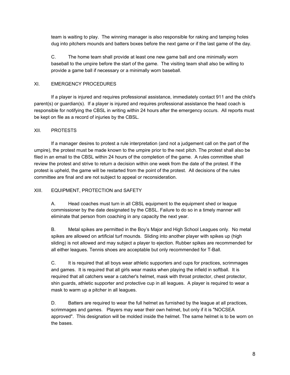team is waiting to play. The winning manager is also responsible for raking and tamping holes dug into pitchers mounds and batters boxes before the next game or if the last game of the day.

C. The home team shall provide at least one new game ball and one minimally worn baseball to the umpire before the start of the game. The visiting team shall also be willing to provide a game ball if necessary or a minimally worn baseball.

# XI. EMERGENCY PROCEDURES

If a player is injured and requires professional assistance, immediately contact 911 and the child's parent(s) or guardian(s). If a player is injured and requires professional assistance the head coach is responsible for notifying the CBSL in writing within 24 hours after the emergency occurs. All reports must be kept on file as a record of injuries by the CBSL.

# XII. PROTESTS

If a manager desires to protest a rule interpretation (and not a judgement call on the part of the umpire), the protest must be made known to the umpire prior to the next pitch. The protest shall also be filed in an email to the CBSL within 24 hours of the completion of the game. A rules committee shall review the protest and strive to return a decision within one week from the date of the protest. If the protest is upheld, the game will be restarted from the point of the protest. All decisions of the rules committee are final and are not subject to appeal or reconsideration.

# XIII. EQUIPMENT, PROTECTION and SAFETY

A. Head coaches must turn in all CBSL equipment to the equipment shed or league commissioner by the date designated by the CBSL. Failure to do so in a timely manner will eliminate that person from coaching in any capacity the next year.

B. Metal spikes are permitted in the Boy's Major and High School Leagues only. No metal spikes are allowed on artificial turf mounds. Sliding into another player with spikes up (high sliding) is not allowed and may subject a player to ejection. Rubber spikes are recommended for all either leagues. Tennis shoes are acceptable but only recommended for T-Ball.

C. It is required that all boys wear athletic supporters and cups for practices, scrimmages and games. It is required that all girls wear masks when playing the infield in softball. It is required that all catchers wear a catcher's helmet, mask with throat protector, chest protector, shin guards, athletic supporter and protective cup in all leagues. A player is required to wear a mask to warm up a pitcher in all leagues.

D. Batters are required to wear the full helmet as furnished by the league at all practices, scrimmages and games. Players may wear their own helmet, but only if it is "NOCSEA approved". This designation will be molded inside the helmet. The same helmet is to be worn on the bases.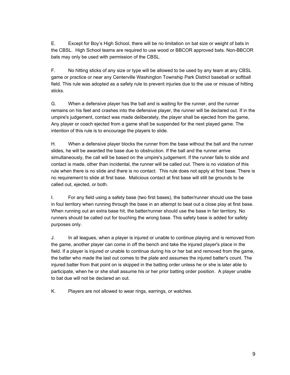E. Except for Boy's High School, there will be no limitation on bat size or weight of bats in the CBSL. High School teams are required to use wood or BBCOR approved bats. Non-BBCOR bats may only be used with permission of the CBSL.

F. No hitting sticks of any size or type will be allowed to be used by any team at any CBSL game or practice or near any Centerville Washington Township Park District baseball or softball field. This rule was adopted as a safety rule to prevent injuries due to the use or misuse of hitting sticks.

G. When a defensive player has the ball and is waiting for the runner, and the runner remains on his feet and crashes into the defensive player, the runner will be declared out. If in the umpire's judgement, contact was made deliberately, the player shall be ejected from the game, Any player or coach ejected from a game shall be suspended for the next played game. The intention of this rule is to encourage the players to slide.

H. When a defensive player blocks the runner from the base without the ball and the runner slides, he will be awarded the base due to obstruction. If the ball and the runner arrive simultaneously, the call will be based on the umpire's judgement. If the runner fails to slide and contact is made, other than incidental, the runner will be called out. There is no violation of this rule when there is no slide and there is no contact. This rule does not apply at first base. There is no requirement to slide at first base. Malicious contact at first base will still be grounds to be called out, ejected, or both.

I. For any field using a safety base (two first bases), the batter/runner should use the base in foul territory when running through the base in an attempt to beat out a close play at first base. When running out an extra base hit, the batter/runner should use the base in fair territory. No runners should be called out for touching the wrong base. This safety base is added for safety purposes only.

J. In all leagues, when a player is injured or unable to continue playing and is removed from the game, another player can come in off the bench and take the injured player's place in the field. If a player is injured or unable to continue during his or her bat and removed from the game, the batter who made the last out comes to the plate and assumes the injured batter's count. The injured batter from that point on is skipped in the batting order unless he or she is later able to participate, when he or she shall assume his or her prior batting order position. A player unable to bat due will not be declared an out.

K. Players are not allowed to wear rings, earrings, or watches.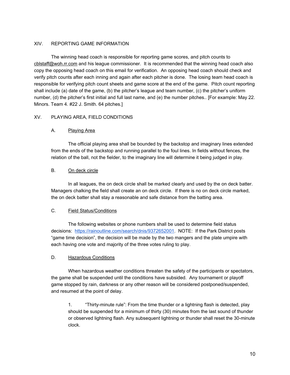# XIV. REPORTING GAME INFORMATION

The winning head coach is responsible for reporting game scores, and pitch counts to cblstaff@woh.rr.com and his league commissioner. It is recommended that the winning head coach also copy the opposing head coach on this email for verification. An opposing head coach should check and verify pitch counts after each inning and again after each pitcher is done. The losing team head coach is responsible for verifying pitch count sheets and game score at the end of the game. Pitch count reporting shall include (a) date of the game, (b) the pitcher's league and team number, (c) the pitcher's uniform number, (d) the pitcher's first initial and full last name, and (e) the number pitches.. [For example: May 22. Minors. Team 4. #22 J. Smith. 64 pitches.]

# XV. PLAYING AREA, FIELD CONDITIONS

# A. Playing Area

The official playing area shall be bounded by the backstop and imaginary lines extended from the ends of the backstop and running parallel to the foul lines. In fields without fences, the relation of the ball, not the fielder, to the imaginary line will determine it being judged in play.

#### B. On deck circle

In all leagues, the on deck circle shall be marked clearly and used by the on deck batter. Managers chalking the field shall create an on deck circle. If there is no on deck circle marked, the on deck batter shall stay a reasonable and safe distance from the batting area.

#### C. Field Status/Conditions

The following websites or phone numbers shall be used to determine field status decisions: https://rainoutline.com/search/dnis/9372652001. NOTE: If the Park District posts "game time decision", the decision will be made by the two mangers and the plate umpire with each having one vote and majority of the three votes ruling to play.

#### D. Hazardous Conditions

When hazardous weather conditions threaten the safety of the participants or spectators, the game shall be suspended until the conditions have subsided. Any tournament or playoff game stopped by rain, darkness or any other reason will be considered postponed/suspended, and resumed at the point of delay.

1. "Thirty-minute rule": From the time thunder or a lightning flash is detected, play should be suspended for a minimum of thirty (30) minutes from the last sound of thunder or observed lightning flash. Any subsequent lightning or thunder shall reset the 30-minute clock.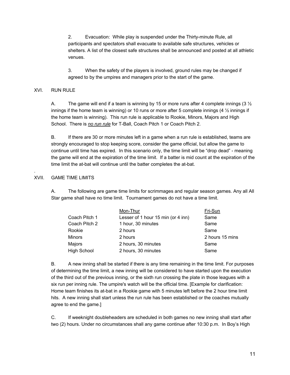2. Evacuation: While play is suspended under the Thirty-minute Rule, all participants and spectators shall evacuate to available safe structures, vehicles or shelters. A list of the closest safe structures shall be announced and posted at all athletic venues.

3. When the safety of the players is involved, ground rules may be changed if agreed to by the umpires and managers prior to the start of the game.

# XVI. RUN RULE

A. The game will end if a team is winning by 15 or more runs after 4 complete innings (3  $\frac{1}{2}$ ) innings if the home team is winning) or 10 runs or more after 5 complete innings  $(4\frac{1}{2})$  innings if the home team is winning). This run rule is applicable to Rookie, Minors, Majors and High School. There is *no run rule* for T-Ball, Coach Pitch 1 or Coach Pitch 2.

B. If there are 30 or more minutes left in a game when a run rule is established, teams are strongly encouraged to stop keeping score, consider the game official, but allow the game to continue until time has expired. In this scenario only, the time limit will be "drop dead" - meaning the game will end at the expiration of the time limit. If a batter is mid count at the expiration of the time limit the at-bat will continue until the batter completes the at-bat.

# XVII. GAME TIME LIMITS

.

A. The following are game time limits for scrimmages and regular season games. Any all All Star game shall have no time limit. Tournament games do not have a time limit.

|                    | Mon-Thur                           | Fri-Sun         |
|--------------------|------------------------------------|-----------------|
| Coach Pitch 1      | Lesser of 1 hour 15 min (or 4 inn) | Same            |
| Coach Pitch 2      | 1 hour, 30 minutes                 | Same            |
| Rookie             | 2 hours                            | Same            |
| Minors             | 2 hours                            | 2 hours 15 mins |
| Majors             | 2 hours, 30 minutes                | Same            |
| <b>High School</b> | 2 hours, 30 minutes                | Same            |

B. A new inning shall be started if there is any time remaining in the time limit. For purposes of determining the time limit, a new inning will be considered to have started upon the execution of the third out of the previous inning, or the sixth run crossing the plate in those leagues with a six run per inning rule. The umpire's watch will be the official time. [Example for clarification: Home team finishes its at-bat in a Rookie game with 5 minutes left before the 2 hour time limit hits. A new inning shall start unless the run rule has been established or the coaches mutually agree to end the game.]

C. If weeknight doubleheaders are scheduled in both games no new inning shall start after two (2) hours. Under no circumstances shall any game continue after 10:30 p.m. In Boy's High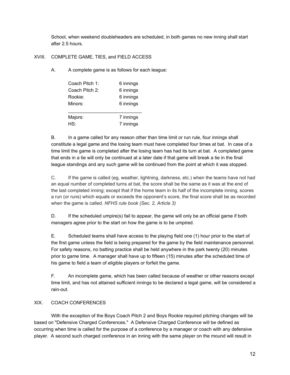School, when weekend doubleheaders are scheduled, in both games no new inning shall start after 2.5 hours.

# XVIII. COMPLETE GAME, TIES, and FIELD ACCESS

A. A complete game is as follows for each league:

| Coach Pitch 1: | 6 innings |  |
|----------------|-----------|--|
| Coach Pitch 2: | 6 innings |  |
| Rookie:        | 6 innings |  |
| Minors:        | 6 innings |  |
|                |           |  |
| Majors:        | 7 innings |  |
| HS:            | 7 innings |  |

B. In a game called for any reason other than time limit or run rule, four innings shall constitute a legal game and the losing team must have completed four times at bat. In case of a time limit the game is completed after the losing team has had its turn at bat. A completed game that ends in a tie will only be continued at a later date if that game will break a tie in the final league standings and any such game will be continued from the point at which it was stopped.

C. If the game is called (eg, weather, lightning, darkness, etc.) when the teams have not had an equal number of completed turns at bat, the score shall be the same as it was at the end of the last completed inning; except that if the home team in its half of the incomplete inning, scores a run (or runs) which equals or exceeds the opponent's score, the final score shall be as recorded when the game is called. *NFHS rule book (Sec. 2, Article 3)*

D. If the scheduled umpire(s) fail to appear, the game will only be an official game if both managers agree prior to the start on how the game is to be umpired.

E. Scheduled teams shall have access to the playing field one (1) hour prior to the start of the first game unless the field is being prepared for the game by the field maintenance personnel. For safety reasons, no batting practice shall be held anywhere in the park twenty (20) minutes prior to game time. A manager shall have up to fifteen (15) minutes after the scheduled time of his game to field a team of eligible players or forfeit the game.

F. An incomplete game, which has been called because of weather or other reasons except time limit, and has not attained sufficient innings to be declared a legal game, will be considered a rain-out.

# XIX. COACH CONFERENCES

With the exception of the Boys Coach Pitch 2 and Boys Rookie required pitching changes will be based on "Defensive Charged Conferences." A Defensive Charged Conference will be defined as occurring when time is called for the purpose of a conference by a manager or coach with any defensive player. A second such charged conference in an inning with the same player on the mound will result in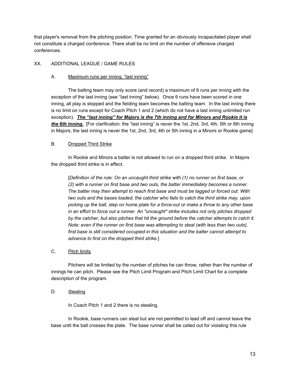that player's removal from the pitching position. Time granted for an obviously incapacitated player shall not constitute a charged conference. There shall be no limit on the number of offensive charged conferences.

# XX. ADDITIONAL LEAGUE / GAME RULES

# A. Maximum runs per inning; "last inning"

The batting team may only score (and record) a maximum of 6 runs per inning with the exception of the last inning (see "last inning" below). Once 6 runs have been scored in one inning, all play is stopped and the fielding team becomes the batting team. In the last inning there is no limit on runs except for Coach Pitch 1 and 2 (which do not have a last inning unlimited run exception). *The "last inning" for Majors is the 7th inning and for Minors and Rookie it is the 6th inning.* [For clarification: the "last inning" is never the 1st, 2nd, 3rd, 4th, 5th or 6th inning in Majors; the last inning is never the 1st, 2nd, 3rd, 4th or 5th inning in a Minors or Rookie game]

# B. Dropped Third Strike

In Rookie and Minors a batter is not allowed to run on a dropped third strike. In Majors the dropped third strike is in effect.

[*Definition of the rule: On an uncaught third strike with (1) no runner on first base, or (2) with a runner on first base and two outs, the batter immediately becomes a runner. The batter may then attempt to reach first base and must be tagged or forced out. With two outs and the bases loaded, the catcher who fails to catch the third strike may, upon picking up the ball, step on home plate for a force-out or make a throw to any other base in an effort to force out a runner. An "uncaught" strike includes not only pitches dropped by the catcher, but also pitches that hit the ground before the catcher attempts to catch it. Note: even if the runner on first base was attempting to steal (with less than two outs), first base is still considered occupied in this situation and the batter cannot attempt to advance to first on the dropped third strike.*]

# C. Pitch limits

Pitchers will be limited by the number of pitches he can throw, rather than the number of innings he can pitch. Please see the Pitch Limit Program and Pitch Limit Chart for a complete description of the program.

# D. Stealing

In Coach Pitch 1 and 2 there is no stealing.

In Rookie, base runners can steal but are not permitted to lead off and cannot leave the base until the ball crosses the plate. The base runner shall be called out for violating this rule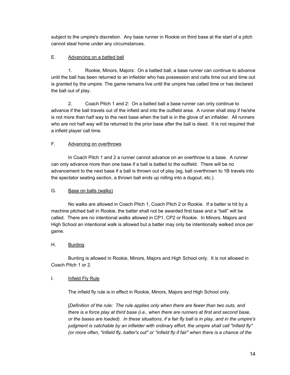subject to the umpire's discretion. Any base runner in Rookie on third base at the start of a pitch cannot steal home under any circumstances.

# E. Advancing on a batted ball

1. Rookie, Minors, Majors: On a batted ball, a base runner can continue to advance until the ball has been returned to an infielder who has possession and calls time out and time out is granted by the umpire. The game remains live until the umpire has called time or has declared the ball out of play.

2. Coach Pitch 1 and 2: On a batted ball a base runner can only continue to advance if the ball travels out of the infield and into the outfield area. A runner shall stop if he/she is not more than half way to the next base when the ball is in the glove of an infielder. All runners who are not half way will be returned to the prior base after the ball is dead. It is not required that a infield player call time.

# F. Advancing on overthrows

In Coach Pitch 1 and 2 a runner cannot advance on an overthrow to a base. A runner can only advance more than one base if a ball is batted to the outfield. There will be no advancement to the next base if a ball is thrown out of play (eg, ball overthrown to 1B travels into the spectator seating section, a thrown ball ends up rolling into a dugout, etc.).

# G. Base on balls (walks)

No walks are allowed in Coach Pitch 1, Coach Pitch 2 or Rookie. If a batter is hit by a machine pitched ball in Rookie, the batter shall not be awarded first base and a "ball" will be called. There are no intentional walks allowed in CP1, CP2 or Rookie. In Minors, Majors and High School an intentional walk is allowed but a batter may only be intentionally walked once per game.

# H. Bunting

Bunting is allowed in Rookie, Minors, Majors and High School only. It is not allowed in Coach Pitch 1 or 2.

# I. Infield Fly Rule

The infield fly rule is in effect in Rookie, Minors, Majors and High School only.

[*Definition of the rule: The rule applies only when there are fewer than two outs, and there is a force play at third base (i.e., when there are runners at first and second base, or the bases are loaded). In these situations, if a fair fly ball is in play, and in the umpire's judgment is catchable by an infielder with ordinary effort, the umpire shall call "infield fly" (or more often, "infield fly, batter's out" or "infield fly if fair" when there is a chance of the*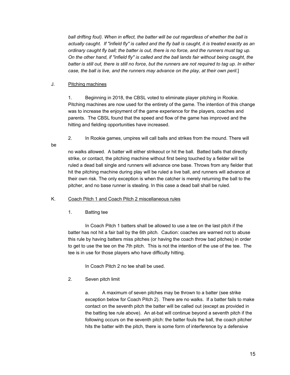*ball drifting foul). When in effect, the batter will be out regardless of whether the ball is actually caught. If "infield fly" is called and the fly ball is caught, it is treated exactly as an ordinary caught fly ball; the batter is out, there is no force, and the runners must tag up. On the other hand, if "infield fly" is called and the ball lands fair without being caught, the batter is still out, there is still no force, but the runners are not required to tag up. In either case, the ball is live, and the runners may advance on the play, at their own peril.*]

# J. Pitching machines

1. Beginning in 2018, the CBSL voted to eliminate player pitching in Rookie. Pitching machines are now used for the entirety of the game. The intention of this change was to increase the enjoyment of the game experience for the players, coaches and parents. The CBSL found that the speed and flow of the game has improved and the hitting and fielding opportunities have increased.

2. In Rookie games, umpires will call balls and strikes from the mound. There will

be

no walks allowed. A batter will either strikeout or hit the ball. Batted balls that directly strike, or contact, the pitching machine without first being touched by a fielder will be ruled a dead ball single and runners will advance one base. Throws from any fielder that hit the pitching machine during play will be ruled a live ball, and runners will advance at their own risk. The only exception is when the catcher is merely returning the ball to the pitcher, and no base runner is stealing. In this case a dead ball shall be ruled.

# K. Coach Pitch 1 and Coach Pitch 2 miscellaneous rules

1. Batting tee

In Coach Pitch 1 batters shall be allowed to use a tee on the last pitch if the batter has not hit a fair ball by the 6th pitch. Caution: coaches are warned not to abuse this rule by having batters miss pitches (or having the coach throw bad pitches) in order to get to use the tee on the 7th pitch. This is not the intention of the use of the tee. The tee is in use for those players who have difficulty hitting.

In Coach Pitch 2 no tee shall be used.

2. Seven pitch limit

a. A maximum of seven pitches may be thrown to a batter (see strike exception below for Coach Pitch 2). There are no walks. If a batter fails to make contact on the seventh pitch the batter will be called out (except as provided in the batting tee rule above). An at-bat will continue beyond a seventh pitch if the following occurs on the seventh pitch: the batter fouls the ball, the coach pitcher hits the batter with the pitch, there is some form of interference by a defensive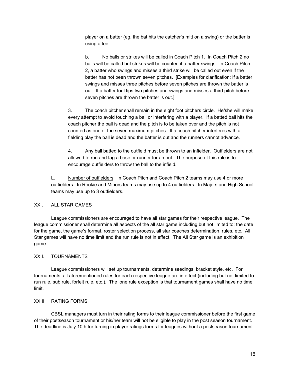player on a batter (eg, the bat hits the catcher's mitt on a swing) or the batter is using a tee.

b. No balls or strikes will be called in Coach Pitch 1. In Coach Pitch 2 no balls will be called but strikes will be counted if a batter swings. In Coach Pitch 2, a batter who swings and misses a third strike will be called out even if the batter has not been thrown seven pitches. [Examples for clarification: If a batter swings and misses three pitches before seven pitches are thrown the batter is out. If a batter foul tips two pitches and swings and misses a third pitch before seven pitches are thrown the batter is out.]

3. The coach pitcher shall remain in the eight foot pitchers circle. He/she will make every attempt to avoid touching a ball or interfering with a player. If a batted ball hits the coach pitcher the ball is dead and the pitch is to be taken over and the pitch is not counted as one of the seven maximum pitches. If a coach pitcher interferes with a fielding play the ball is dead and the batter is out and the runners cannot advance.

4. Any ball batted to the outfield must be thrown to an infielder. Outfielders are not allowed to run and tag a base or runner for an out. The purpose of this rule is to encourage outfielders to throw the ball to the infield.

L. Number of outfielders: In Coach Pitch and Coach Pitch 2 teams may use 4 or more outfielders. In Rookie and Minors teams may use up to 4 outfielders. In Majors and High School teams may use up to 3 outfielders.

# XXI. ALL STAR GAMES

League commissioners are encouraged to have all star games for their respective league. The league commissioner shall determine all aspects of the all star game including but not limited to: the date for the game, the game's format, roster selection process, all star coaches determination, rules, etc. All Star games will have no time limit and the run rule is not in effect. The All Star game is an exhibition game.

# XXII. TOURNAMENTS

League commissioners will set up tournaments, determine seedings, bracket style, etc. For tournaments, all aforementioned rules for each respective league are in effect (including but not limited to: run rule, sub rule, forfeit rule, etc.). The lone rule exception is that tournament games shall have no time limit.

# XXIII. RATING FORMS

CBSL managers must turn in their rating forms to their league commissioner before the first game of their postseason tournament or his/her team will not be eligible to play in the post season tournament. The deadline is July 10th for turning in player ratings forms for leagues without a postseason tournament.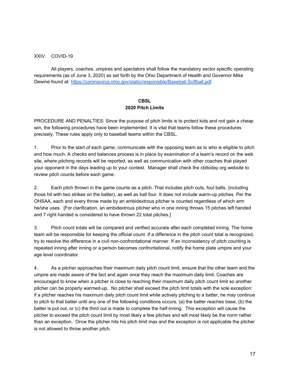# XXIV. COVID-19

All players, coaches, umpires and spectators shall follow the mandatory sector specific operating requirements (as of June 3, 2020) as set forth by the Ohio Department of Health and Governor Mike Dewine found at: https://coronavirus.ohio.gov/static/responsible/Baseball-Softball.pdf.

# **CBSL 2020 Pitch Limits**

PROCEDURE AND PENALTIES: Since the purpose of pitch limits is to protect kids and not gain a cheap win, the following procedures have been implemented. It is vital that teams follow these procedures precisely. These rules apply only to baseball teams within the CBSL.

1. Prior to the start of each game, communicate with the opposing team as to who is eligible to pitch and how much. A checks and balances process is in place by examination of a team's record on the web site, where pitching records will be reported, as well as communication with other coaches that played your opponent in the days leading up to your contest. Manager shall check the cbltoday.org website to review pitch counts before each game.

2. Each pitch thrown in the game counts as a pitch. That includes pitch outs, foul balls, (including those hit with two strikes on the batter), as well as ball four. It does not include warm-up pitches. Per the OHSAA, each and every throw made by an ambidextrous pitcher is counted regardless of which arm he/she uses. [For clarification, an ambidextrous pitcher who in one inning throws 15 pitches left handed and 7 right handed is considered to have thrown 22 total pitches.]

3. Pitch count totals will be compared and verified accurate after each completed inning. The home team will be responsible for keeping the official count. If a difference in the pitch count total is recognized, try to resolve the difference in a civil non-confrontational manner. If an inconsistency of pitch counting is repeated inning after inning or a person becomes confrontational, notify the home plate umpire and your age level coordinator.

4. As a pitcher approaches their maximum daily pitch count limit, ensure that the other team and the umpire are made aware of the fact and again once they reach the maximum daily limit. Coaches are encouraged to know when a pitcher is close to reaching their maximum daily pitch count limit so another pitcher can be properly warmed-up. No pitcher shall exceed the pitch limit totals with the sole exception: if a pitcher reaches his maximum daily pitch count limit while actively pitching to a batter, he may continue to pitch to that batter until any one of the following conditions occurs: (a) the batter reaches base, (b) the batter is put out, or (c) the third out is made to complete the half-inning. This exception will cause the pitcher to exceed the pitch count limit by most likely a few pitches and will most likely be the norm rather than an exception. Once the pitcher hits his pitch limit max and the exception is not applicable the pitcher is not allowed to throw another pitch.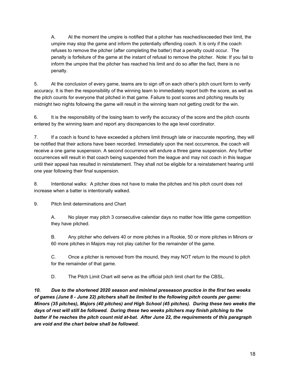A. At the moment the umpire is notified that a pitcher has reached/exceeded their limit, the umpire may stop the game and inform the potentially offending coach. It is only if the coach refuses to remove the pitcher (after completing the batter) that a penalty could occur. The penalty is forfeiture of the game at the instant of refusal to remove the pitcher. Note: If you fail to inform the umpire that the pitcher has reached his limit and do so after the fact, there is no penalty.

5. At the conclusion of every game, teams are to sign off on each other's pitch count form to verify accuracy. It is then the responsibility of the winning team to immediately report both the score, as well as the pitch counts for everyone that pitched in that game. Failure to post scores and pitching results by midnight two nights following the game will result in the winning team not getting credit for the win.

6. It is the responsibility of the losing team to verify the accuracy of the score and the pitch counts entered by the winning team and report any discrepancies to the age level coordinator.

7. If a coach is found to have exceeded a pitchers limit through late or inaccurate reporting, they will be notified that their actions have been recorded. Immediately upon the next occurrence, the coach will receive a one game suspension. A second occurrence will endure a three game suspension. Any further occurrences will result in that coach being suspended from the league and may not coach in this league until their appeal has resulted in reinstatement. They shall not be eligible for a reinstatement hearing until one year following their final suspension.

8. Intentional walks: A pitcher does not have to make the pitches and his pitch count does not increase when a batter is intentionally walked.

9. Pitch limit determinations and Chart

A. No player may pitch 3 consecutive calendar days no matter how little game competition they have pitched.

B. Any pitcher who delivers 40 or more pitches in a Rookie, 50 or more pitches in Minors or 60 more pitches in Majors may not play catcher for the remainder of the game.

C. Once a pitcher is removed from the mound, they may NOT return to the mound to pitch for the remainder of that game.

D. The Pitch Limit Chart will serve as the official pitch limit chart for the CBSL.

*10. Due to the shortened 2020 season and minimal preseason practice in the first two weeks of games (June 8 - June 22) pitchers shall be limited to the following pitch counts per game: Minors (35 pitches), Majors (40 pitches) and High School (45 pitches). During these two weeks the days of rest will still be followed. During these two weeks pitchers may finish pitching to the batter if he reaches the pitch count mid at-bat. After June 22, the requirements of this paragraph are void and the chart below shall be followed.*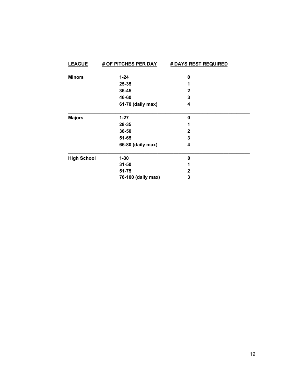| <b>LEAGUE</b>      | <b># OF PITCHES PER DAY</b> | <b># DAYS REST REQUIRED</b> |
|--------------------|-----------------------------|-----------------------------|
| <b>Minors</b>      | $1 - 24$                    | 0                           |
|                    | 25-35                       |                             |
|                    | 36-45                       | $\mathbf{2}$                |
|                    | 46-60                       | 3                           |
|                    | 61-70 (daily max)           | 4                           |
| <b>Majors</b>      | $1 - 27$                    | 0                           |
|                    | 28-35                       | 1                           |
|                    | 36-50                       | $\mathbf{2}$                |
|                    | 51-65                       | 3                           |
|                    | 66-80 (daily max)           | 4                           |
| <b>High School</b> | $1 - 30$                    | 0                           |
|                    | $31 - 50$                   | 1                           |
|                    | 51-75                       | 2                           |
|                    | 76-100 (daily max)          | 3                           |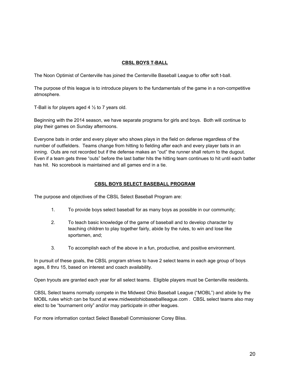# **CBSL BOYS T-BALL**

The Noon Optimist of Centerville has joined the Centerville Baseball League to offer soft t-ball.

The purpose of this league is to introduce players to the fundamentals of the game in a non-competitive atmosphere.

T-Ball is for players aged 4  $\frac{1}{2}$  to 7 years old.

Beginning with the 2014 season, we have separate programs for girls and boys. Both will continue to play their games on Sunday afternoons.

Everyone bats in order and every player who shows plays in the field on defense regardless of the number of outfielders. Teams change from hitting to fielding after each and every player bats in an inning. Outs are not recorded but if the defense makes an "out" the runner shall return to the dugout. Even if a team gets three "outs" before the last batter hits the hitting team continues to hit until each batter has hit. No scorebook is maintained and all games end in a tie.

# **CBSL BOYS SELECT BASEBALL PROGRAM**

The purpose and objectives of the CBSL Select Baseball Program are:

- 1. To provide boys select baseball for as many boys as possible in our community;
- 2. To teach basic knowledge of the game of baseball and to develop character by teaching children to play together fairly, abide by the rules, to win and lose like sportsmen, and;
- 3. To accomplish each of the above in a fun, productive, and positive environment.

In pursuit of these goals, the CBSL program strives to have 2 select teams in each age group of boys ages, 8 thru 15, based on interest and coach availability.

Open tryouts are granted each year for all select teams. Eligible players must be Centerville residents.

CBSL Select teams normally compete in the Midwest Ohio Baseball League ("MOBL") and abide by the MOBL rules which can be found at www.midwestohiobaseballleague.com . CBSL select teams also may elect to be "tournament only" and/or may participate in other leagues.

For more information contact Select Baseball Commissioner Corey Bliss.